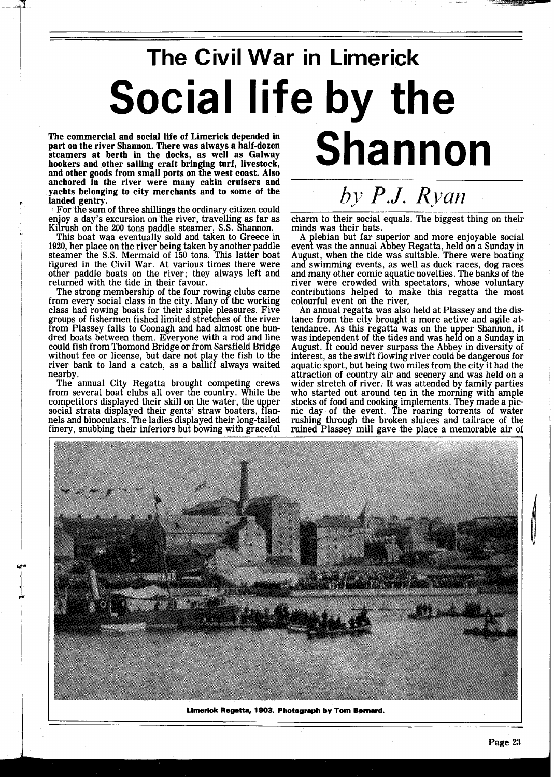## **The Civil War in Limerick Social life by the Shannon**

The commercial and social life of Limerick depended in part on the river Shannon. There was always a half-dozen steamers at berth in the docks, as well as Galway hookers and other sailing craft bringing turf, livestock, and other goods from small ports on the west coast. Also anchored in the river were many cabin cruisers and yachts belonging to city merchants and to some of the landed gentry.

For the sum of three shillings the ordinary citizen could enjoy a day's excursion on the river, travelling as far as Kilrush on the 200 tons paddle steamer, S.S. Shannon.

This boat waa eventually sold and taken to Greece in 1920, her place on the river being taken by another paddle steamer the S.S. Mermaid of 150 tons. This latter boat figured in the Civil War. At various times there were other paddle boats on the river; they always left and returned with the tide in their favour.

The strong membership of the four rowing clubs came from every social class in the city. Many of the working class had rowing boats for their simple pleasures. Five groups of fishermen fished limited stretches of the river from Plassey falls to Coonagh and had almost one hundred boats between them. Everyone with a rod and line could fish from Thomond Bridge or from Sarsfield Bridge without fee or license, but dare not play the fish to the river bank to land a catch, as a bailiff always waited nearby.

The annual City Regatta brought competing crews from several boat clubs all over the country. While the competitors displayed their skill on the water, the upper social strata displayed their gents' straw boaters, flan-<br>nels and binoculars. The ladies displayed their long-tailed finery, snubbing their inferiors but bowing with graceful

*by P.J. Ryan* 

charm to their social equals. The biggest thing on their minds was their hats.

A plebian but far superior and more enjoyable social event was the annual Abbey Regatta, held on a Sunday in August, when the tide was suitable. There were boating and swimming events, as well as duck races, dog races and many other comic aquatic novelties. The banks of the river were crowded with spectators, whose voluntary contributions helped to make this regatta the most colourful event on the river,

An annual regatta was also held at Plassey and the distance from the city brought a more active and agile attendance. As this regatta was on the upper Shannon, it was independent of the tides and was held on a Sunday in August. It could never surpass the Abbey in diversity of interest, as the swift flowing river could be dangerous for aquatic sport, but being two miles from the city it had the attraction of country air and scenery and was held on a wider stretch of river. It was attended by family parties who started out around ten in the morning with ample wider stretch of river. It was attended by family parties who started out around ten in the morning with ample stocks of food and cooking implements. They made a pic- nic day of the event. The roaring torrents of water rushing through the broken sluices and tailrace of the ruined Plassey mill gave the place a memorable air of



Limerick Regatta, 1903. Photograph by Tom Bernard.